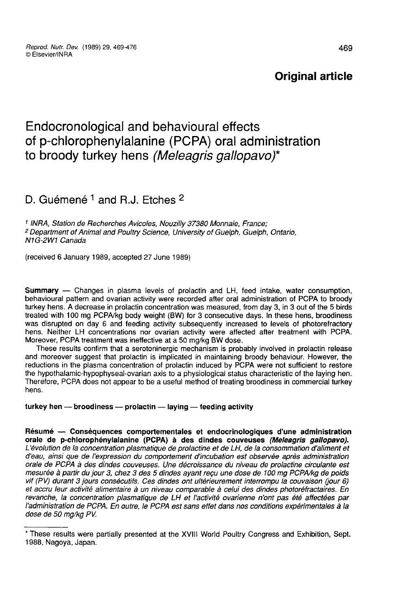# Original article

# Endocronological and behavioural effects of p-chlorophenylalanine (PCPA) oral administration to broody turkey hens (Meleagris gallopavo)\*

# D. Guémené  $1$  and R.J. Etches  $2$

<sup>1</sup> INRA, Station de Recherches Avicoles, Nouzilly 37380 Monnaie, France;<br><sup>2</sup> Department of Animal and Poultry Science, University of Guelph, Guelph, Ontario, N<sub>1</sub>G-2W<sub>1</sub> Canada

(received 6 January 1989, accepted 27 June 1989)

Summary ― Changes in plasma levels of prolactin and LH, feed intake, water consumption, behavioural pattern and ovarian activity were recorded after oral administration of PCPA to broody turkey hens. A decrease in prolactin concentration was measured, from day 3, in 3 out of the 5 birds treated with 100 mg PCPA/kg body weight (BW) for 3 consecutive days. In these hens, broodiness was disrupted on day 6 and feeding activity subsequently increased to levels of photorefractory hens. Neither LH concentrations nor ovarian activity were affected after treatment with PCPA. Moreover, PCPA treatment was ineffective at a 50 mg/kg BW dose.

These results confirm that a serotoninergic mechanism is probably involved in prolactin release and moreover suggest that prolactin is implicated in maintaining broody behaviour. However, the reductions in the plasma concentration of prolactin induced by PCPA were not sufficient to restore the hypothalamic-hypophyseal-ovarian axis to a physiological status characteristic of the laying hen. Therefore, PCPA does not appear to be a useful method of treating broodiness in commercial turkey hens.

# turkey hen  $-$  broodiness  $-$  prolactin  $-$  laying  $-$  feeding activity

Résumé — Conséquences comportementales et endocrinologiques d'une administration<br>orale de p-chlorophényialanine (PCPA) à des dindes couveuses *(Meleagris gallopavo)*. L'évolution de la concentration plasmatique de prolactine et de LH, de la consommation d'aliment et d'eau, ainsi que de l'expression du comportement d'incubation est observée après administration orale de PCPA à des dindes couveuses. Une décroissance du niveau de prolactine circulante est vif (PV) durant 3 jours consécutifs. Ces dindes ont ultérieurement interrompu la couvaison (jour 6)<br>et accru leur activité alimentaire à un niveau comparable à celui des dindes photoréfractaires. En revanche, la concentration plasmatique de LH et l'activité ovarienne n'ont pas été affectées par l'administration de PCPA. En outre, le PCPA est sans effet dans nos conditions expérimentales à la dose de 50 mg/kg PV.

<sup>\*</sup> These results were partially presented at the XVIII World Poultry Congress and Exhibition, Sept. 1988, Nagoya, Japan.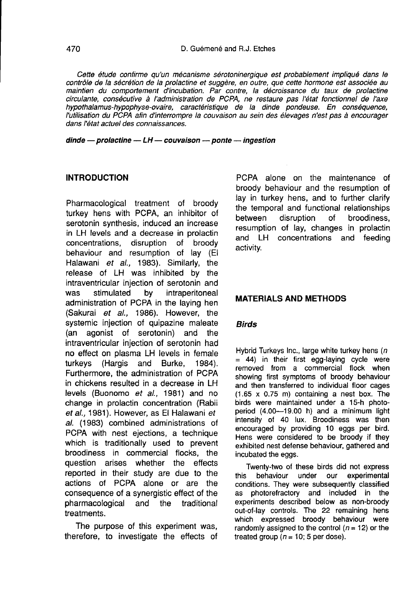Cette étude confirme qu'un mécanisme sérotoninergique est probablement impliqué dans le contrôle de la sécrétion de la prolactine et suggère, en outre, que cette hormone est associée au maintien du comportement d'incubation. Par contre, la décroissance du taux de prolactine circulante, consécutive à I administration de PCPA, ne restaure pas l'état fonctionnel de l'axe hypothalamus-hypophyse-ovaire, caractéristique de la dinde pondeuse. En conséquence, l'utilisation du PCPA afin d'interrompre la couvaison au sein des élevages n'est pas à encourager dans l'état actuel des connaissances.

 $d$ inde — prolactine — LH — couvaison — ponte — ingestion

# INTRODUCTION

Pharmacological treatment of broody turkey hens with PCPA, an inhibitor of serotonin synthesis, induced an increase in LH levels and a decrease in prolactin<br>concentrations. disruption of broody concentrations, disruption of behaviour and resumption of lay (El Halawani et al., 1983). Similarly, the release of LH was inhibited by the intraventricular injection of serotonin and intraperitoneal administration of PCPA in the laying hen (Sakurai et al., 1986). However, the systemic injection of quipazine maleate (an agonist of serotonin) and the intraventricular injection of serotonin had no effect on plasma LH levels in female turkeys (Hargis and Burke, 1984). Furthermore, the administration of PCPA in chickens resulted in a decrease in LH levels (Buonomo et al., 1981) and no change in prolactin concentration (Rabii et al., 1981). However, as El Halawani et al. (1983) combined administrations of PCPA with nest ejections, a technique which is traditionally used to prevent broodiness in commercial flocks, the question arises whether the effects reported in their study are due to the actions of PCPA alone or are the consequence of a synergistic effect of the<br>pharmacological and the traditional pharmacological and the treatments.

The purpose of this experiment was, therefore, to investigate the effects of

PCPA alone on the maintenance of broody behaviour and the resumption of lay in turkey hens, and to further clarify the temporal and functional relationships<br>between disruption of broodiness. broodiness. resumption of lay, changes in prolactin and LH concentrations and feeding activity.

# MATERIALS AND METHODS

# Birds

Hybrid Turkeys Inc., large white turkey hens  $(n)$  $= 44$ ) in their first egg-laying cycle were removed from a commercial flock when showing first symptoms of broody behaviour and then transferred to individual floor cages (1.65 x 0.75 m) containing a nest box. The birds were maintained under a 15-h photoperiod (4.00-19.00 h) and a minimum light intensity of 40 lux. Broodiness was then encouraged by providing 10 eggs per bird. Hens were considered to be broody if they exhibited nest defense behaviour, gathered and incubated the eggs.

Twenty-two of these birds did not express<br>this behaviour under our experimental behaviour under our experimental conditions. They were subsequently classified as photorefractory and included in the experiments described below as non-broody out-of-lay controls. The 22 remaining hens which expressed broody behaviour were randomly assigned to the control ( $n = 12$ ) or the treated group  $(n = 10; 5$  per dose).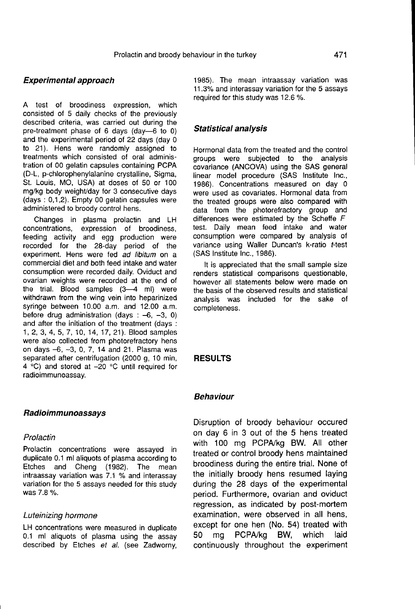# Experimental approach

A test of broodiness expression, which consisted of 5 daily checks of the previously described criteria, was carried out during the pre-treatment phase of 6 days (day―6 to 0) and the experimental period of 22 days (day 0 to 21). Hens were randomly assigned to treatments which consisted of oral administration of 00 gelatin capsules containing PCPA (D-L, p-chlorophenylalanine crystalline, Sigma, St. Louis, MO, USA) at doses of 50 or 100 mg/kg body weight/day for 3 consecutive days (days : 0,1,2). Empty 00 gelatin capsules were administered to broody control hens.

Changes in plasma prolactin and LH concentrations, expression of broodiness, feeding activity and egg production were recorded for the 28-day period of the experiment. Hens were fed ad libitum on a commercial diet and both feed intake and water consumption were recorded daily. Oviduct and ovarian weights were recorded at the end of the trial. Blood samples  $(3-4$  ml) were withdrawn from the wing vein into heparinized syringe between 10.00 a.m. and 12.00 a.m. before drug administration (days  $: -6, -3, 0$ ) and after the initiation of the treatment (days : 1, 2, 3, 4, 5, 7, 10, 14, 17, 21 ). Blood samples were also collected from photorefractory hens on days -6, -3, 0, 7, 14 and 21. Plasma was separated after centrifugation (2000 g, 10 min, 4 °C) and stored at -20 °C until required for radioimmunoassay.

#### Radioimmunoassays

#### Prolactin

Prolactin concentrations were assayed in duplicate 0.1 ml aliquots of plasma according to Etches and Cheng (1982). The mean intraassay variation was 7.1 % and interassay variation for the 5 assays needed for this study was 7.8 %.

#### Luteinizing hormone

LH concentrations were measured in duplicate 0.1 ml aliquots of plasma using the assay described by Etches et al. (see Zadworny, 1985). The mean intraassay variation was 11.3% and interassay variation for the 5 assays required for this study was 12.6 %.

#### Statistical analysis

Hormonal data from the treated and the control groups were subjected to the analysis covariance (ANCOVA) using the SAS general linear model procedure (SAS Institute Inc., 1986). Concentrations measured on day 0 were used as covariates. Hormonal data from the treated groups were also compared with data from the photorefractory group and differences were estimated by the Scheffe  $F$ test. Daily mean feed intake and water consumption were compared by analysis of variance using Waller Duncan's k-ratio t-test (SAS Institute Inc., 1986).

It is appreciated that the small sample size renders statistical comparisons questionable, however all statements below were made on the basis of the observed results and statistical analysis was included for the sake of completeness.

# RESULTS

# Behaviour

Disruption of broody behaviour occured on day 6 in 3 out of the 5 hens treated with 100 mg PCPA/kg BW. All other treated or control broody hens maintained broodiness during the entire trial. None of the initially broody hens resumed laying during the 28 days of the experimental period. Furthermore, ovarian and oviduct regression, as indicated by post-mortem examination, were observed in all hens, except for one hen (No. 54) treated with<br>50 mg PCPA/kg BW, which laid PCPA/kg BW, which continuously throughout the experiment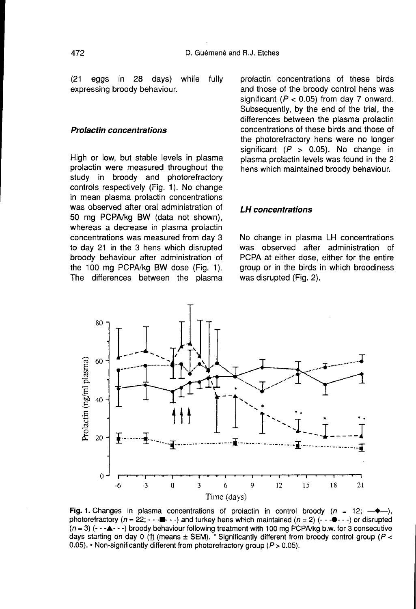(21 eggs in 28 days) while fully expressing broody behaviour.

#### Prolactin concentrations

High or low, but stable levels in plasma prolactin were measured throughout the study in broody and photorefractory controls respectively (Fig. 1). No change in mean plasma prolactin concentrations was observed after oral administration of 50 mg PCPA/kg BW (data not shown), whereas a decrease in plasma prolactin concentrations was measured from day 3 to day 21 in the 3 hens which disrupted broody behaviour after administration of the 100 mg PCPA/kg BW dose (Fig. 1). The differences between the plasma

prolactin concentrations of these birds and those of the broody control hens was significant ( $P < 0.05$ ) from day 7 onward. Subsequently, by the end of the trial, the differences between the plasma prolactin concentrations of these birds and those of the photorefractory hens were no longer significant ( $P > 0.05$ ). No change in plasma prolactin levels was found in the 2 hens which maintained broody behaviour.

#### LH concentrations

No change in plasma LH concentrations was observed after administration of PCPA at either dose, either for the entire group or in the birds in which broodiness was disrupted (Fig. 2).



Fig. 1. Changes in plasma concentrations of prolactin in control broody ( $n = 12$ ; photorefractory ( $n = 22$ ;  $\cdots$  =  $\cdots$  and turkey hens which maintained ( $n = 2$ ) ( $\cdots$   $\cdots$ ) or disrupted  $(n=3)$  (- - - $\blacktriangle$  - -) broody behaviour following treatment with 100 mg PCPA/kg b.w. for 3 consecutive days starting on day 0 (1) (means  $\pm$  SEM). \* Significantly different from broody control group (P < 0.05). • Non-significantly different from photorefractory group ( $P > 0.05$ ).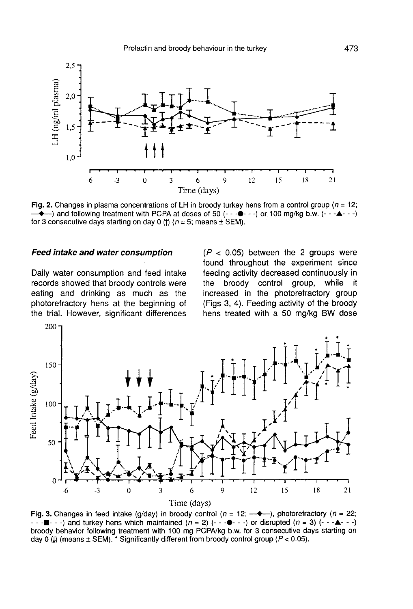

Fig. 2. Changes in plasma concentrations of LH in broody turkey hens from a control group ( $n = 12$ ;  $\rightarrow$  and following treatment with PCPA at doses of 50 (-- $\rightarrow$  --) or 100 mg/kg b.w. (-- $\rightarrow$  --) for 3 consecutive days starting on day 0 (f)  $(n = 5$ ; means  $\pm$  SEM).

#### Feed intake and water consumption

Daily water consumption and feed intake records showed that broody controls were eating and drinking as much as the photorefractory hens at the beginning of

 $(P < 0.05)$  between the 2 groups were found throughout the experiment since feeding activity decreased continuously in<br>the broody control group, while it the broody control group, while increased in the photorefractory group (Figs 3, 4). Feeding activity of the broody hens treated with a 50 mg/kg BW dose



Fig. 3. Changes in feed intake (g/day) in broody control ( $n = 12$ ;  $-\rightarrow$ ), photorefractory ( $n = 22$ ;  $-$  -  $\blacksquare$  - -) and turkey hens which maintained  $(n = 2)$   $(-$  - $\clubsuit$  - -) or disrupted  $(n = 3)$   $(- - \spadesuit$  - -) broody behavior following treatment with 100 mg PCPA/kg b.w. for 3 consecutive days starting on day 0 (4) (means  $\pm$  SEM). \* Significantly different from broody control group ( $P$  < 0.05).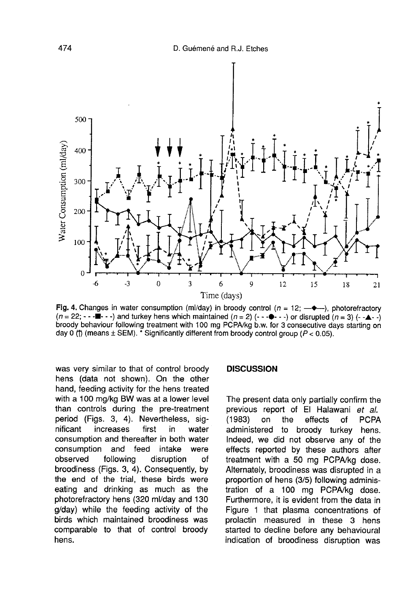

Fig. 4. Changes in water consumption (ml/day) in broody control ( $n = 12$ ;  $\rightarrow \rightarrow$ ), photorefractory  $(n = 22; \cdots \blacksquare \cdots)$  and turkey hens which maintained  $(n = 2)$  (-- $\blacksquare \cdots$ ) or disrupted  $(n = 3)$  (-- $\blacksquare \cdots$ ) broody behaviour following treatment with 100 mg PCPA/kg b.w. for 3 consecutive days starting on day 0 (f) (means  $\pm$  SEM).  $\check{\cdot}$  Significantly different from broody control group (P < 0.05).

was very similar to that of control broody hens (data not shown). On the other hand, feeding activity for the hens treated with a 100 mg/kg BW was at a lower level than controls during the pre-treatment period (Figs. 3, 4). Nevertheless, sig-<br>nificant increases first in water increases consumption and thereafter in both water consumption and feed intake were<br>observed following disruption of disruption broodiness (Figs. 3, 4). Consequently, by the end of the trial, these birds were eating and drinking as much as the photorefractory hens (320 ml/day and 130 g/day) while the feeding activity of the birds which maintained broodiness was comparable to that of control broody hens.

#### **DISCUSSION**

The present data only partially confirm the previous report of El Halawani *et al.*<br>(1983) on the effects of PCPA on the effects administered to broody turkey hens. Indeed, we did not observe any of the effects reported by these authors after treatment with a 50 mg PCPA/kg dose. Alternately, broodiness was disrupted in a proportion of hens (3/5) following administration of a 100 mg PCPA/kg dose. Furthermore, it is evident from the data in Figure 1 that plasma concentrations of prolactin measured in these 3 hens started to decline before any behavioural indication of broodiness disruption was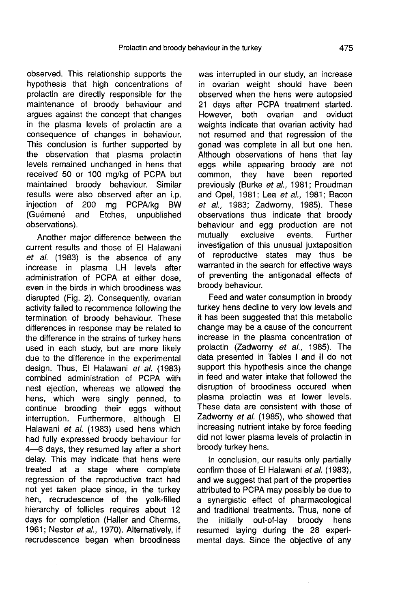observed. This relationship supports the hypothesis that high concentrations of prolactin are directly responsible for the maintenance of broody behaviour and argues against the concept that changes in the plasma levels of prolactin are a consequence of changes in behaviour. This conclusion is further supported by the observation that plasma prolactin levels remained unchanged in hens that received 50 or 100 mg/kg of PCPA but maintained broody behaviour. Similar results were also observed after an i.p. injection of 200 mg PCPA/kg BW<br>(Guémené and Etches, unpublished (Guémené and Etches, observations).

Another major difference between the current results and those of El Halawani et al. (1983) is the absence of any increase in plasma LH levels after administration of PCPA at either dose, even in the birds in which broodiness was disrupted (Fig. 2). Consequently, ovarian activity failed to recommence following the termination of broody behaviour. These differences in response may be related to the difference in the strains of turkey hens used in each study, but are more likely due to the difference in the experimental design. Thus, El Halawani et al. (1983) combined administration of PCPA with nest ejection, whereas we allowed the hens, which were singly penned, to continue brooding their eggs without interruption. Furthermore, although El Halawani et al. (1983) used hens which had fully expressed broody behaviour for 4―6 days, they resumed lay after a short delay. This may indicate that hens were treated at a stage where complete regression of the reproductive tract had not yet taken place since, in the turkey hen, recrudescence of the yolk-filled hierarchy of follicles requires about 12 days for completion (Haller and Cherms, 1961; Nestor et al., 1970). Alternatively, if recrudescence began when broodiness

was interrupted in our study, an increase in ovarian weight should have been observed when the hens were autopsied 21 days after PCPA treatment started.<br>However, both ovarian and oviduct both ovarian and weights indicate that ovarian activity had not resumed and that regression of the gonad was complete in all but one hen. Although observations of hens that lay eggs while appearing broody are not common, they have been reported previously (Burke et al., 1981; Proudman and Opel, 1981; Lea et al., 1981; Bacon et al., 1983; Zadworny, 1985). These observations thus indicate that broody behaviour and egg production are not<br>mutually exclusive events. Further exclusive investigation of this unusual juxtaposition of reproductive states may thus be warranted in the search for effective ways of preventing the antigonadal effects of broody behaviour.

Feed and water consumption in broody turkey hens decline to very low levels and it has been suggested that this metabolic change may be a cause of the concurrent increase in the plasma concentration of prolactin (Zadworny et al., 1985). The data presented in Tables I and II do not support this hypothesis since the change in feed and water intake that followed the disruption of broodiness occured when plasma prolactin was at lower levels. These data are consistent with those of Zadworny et al. (1985), who showed that increasing nutrient intake by force feeding did not lower plasma levels of prolactin in broody turkey hens.

In conclusion, our results only partially confirm those of El Halawani et al. (1983), and we suggest that part of the properties attributed to PCPA may possibly be due to a synergistic effect of pharmacological and traditional treatments. Thus, none of the initially out-of-lay broody hens resumed laying during the 28 experimental days. Since the objective of any